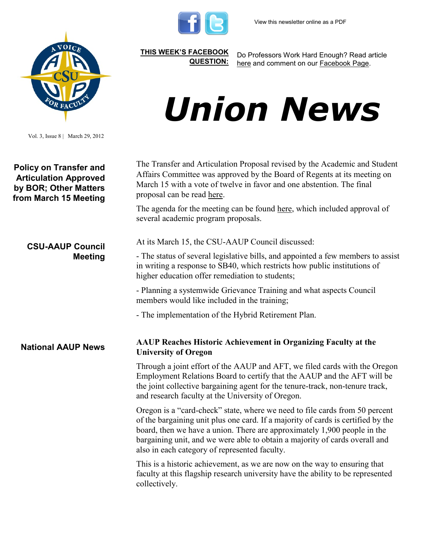

**[THIS WEEK'S FACEBOOK](http://www.facebook.com/csuaaup#!/pages/CSU-AAUP/112907808749535)  [QUESTION:](http://www.facebook.com/csuaaup#!/pages/CSU-AAUP/112907808749535)**

Do Professors Work Hard Enough? Read article [here](http://www.washingtonpost.com/opinions/do-college-professors-work-hard-enough/2012/02/15/gIQAn058VS_story.html?tid=pm_opinions_pop) and comment on our [Facebook Page.](http://www.facebook.com/csuaaup#!/pages/CSU-AAUP/112907808749535) 

## *Union News*

Vol. 3, Issue 8 | March 29, 2012

**Policy on Transfer and Articulation Approved by BOR; Other Matters from March 15 Meeting** 

**CSU-AAUP Council** 

**Meeting**

The Transfer and Articulation Proposal revised by the Academic and Student Affairs Committee was approved by the Board of Regents at its meeting on March 15 with a vote of twelve in favor and one abstention. The final proposal can be read [here.](http://www.csuaaup.org/wp-content/uploads/2012/03/FINALBORtransferpolicy.pdf) 

The agenda for the meeting can be found <u>here</u>, which included approval of several academic program proposals.

At its March 15, the CSU-AAUP Council discussed:

- The status of several legislative bills, and appointed a few members to assist in writing a response to SB40, which restricts how public institutions of higher education offer remediation to students;

- Planning a systemwide Grievance Training and what aspects Council members would like included in the training;

- The implementation of the Hybrid Retirement Plan.

**National AAUP News AAUP Reaches Historic Achievement in Organizing Faculty at the University of Oregon**

> Through a joint effort of the AAUP and AFT, we filed cards with the Oregon Employment Relations Board to certify that the AAUP and the AFT will be the joint collective bargaining agent for the tenure-track, non-tenure track, and research faculty at the University of Oregon.

Oregon is a "card-check" state, where we need to file cards from 50 percent of the bargaining unit plus one card. If a majority of cards is certified by the board, then we have a union. There are approximately 1,900 people in the bargaining unit, and we were able to obtain a majority of cards overall and also in each category of represented faculty.

This is a historic achievement, as we are now on the way to ensuring that faculty at this flagship research university have the ability to be represented collectively.